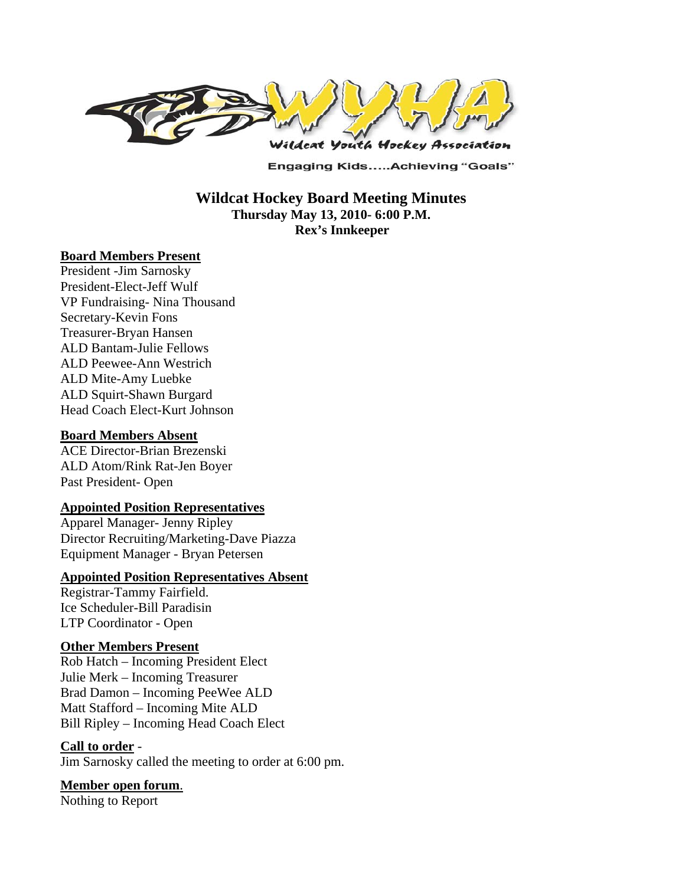

**Engaging Kids.....Achieving "Goals"** 

 **Wildcat Hockey Board Meeting Minutes Thursday May 13, 2010- 6:00 P.M. Rex's Innkeeper** 

#### **Board Members Present**

President -Jim Sarnosky President-Elect-Jeff Wulf VP Fundraising- Nina Thousand Secretary-Kevin Fons Treasurer-Bryan Hansen ALD Bantam-Julie Fellows ALD Peewee-Ann Westrich ALD Mite-Amy Luebke ALD Squirt-Shawn Burgard Head Coach Elect-Kurt Johnson

#### **Board Members Absent**

ACE Director-Brian Brezenski ALD Atom/Rink Rat-Jen Boyer Past President- Open

#### **Appointed Position Representatives**

Apparel Manager- Jenny Ripley Director Recruiting/Marketing-Dave Piazza Equipment Manager - Bryan Petersen

#### **Appointed Position Representatives Absent**

Registrar-Tammy Fairfield. Ice Scheduler-Bill Paradisin LTP Coordinator - Open

#### **Other Members Present**

Rob Hatch – Incoming President Elect Julie Merk – Incoming Treasurer Brad Damon – Incoming PeeWee ALD Matt Stafford – Incoming Mite ALD Bill Ripley – Incoming Head Coach Elect

#### **Call to order** -

Jim Sarnosky called the meeting to order at 6:00 pm.

**Member open forum**.

Nothing to Report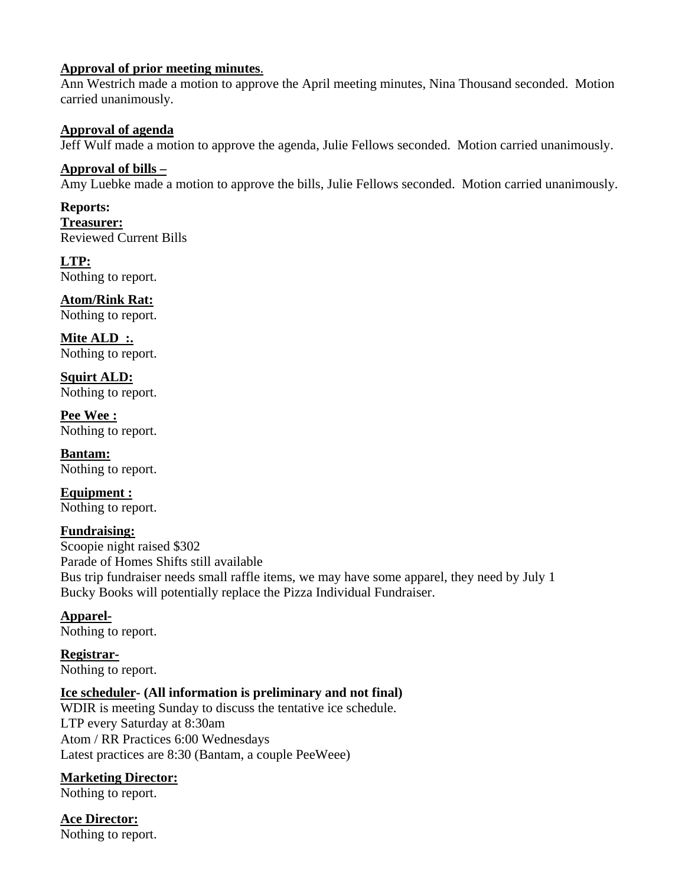#### **Approval of prior meeting minutes**.

Ann Westrich made a motion to approve the April meeting minutes, Nina Thousand seconded. Motion carried unanimously.

#### **Approval of agenda**

Jeff Wulf made a motion to approve the agenda, Julie Fellows seconded. Motion carried unanimously.

**Approval of bills –**  Amy Luebke made a motion to approve the bills, Julie Fellows seconded. Motion carried unanimously.

**Reports: Treasurer:**  Reviewed Current Bills

**LTP:**  Nothing to report.

**Atom/Rink Rat:**  Nothing to report.

Mite ALD :. Nothing to report.

**Squirt ALD:**  Nothing to report.

**Pee Wee :**  Nothing to report.

**Bantam:**  Nothing to report.

**Equipment :**  Nothing to report.

# **Fundraising:**

Scoopie night raised \$302 Parade of Homes Shifts still available Bus trip fundraiser needs small raffle items, we may have some apparel, they need by July 1 Bucky Books will potentially replace the Pizza Individual Fundraiser.

# **Apparel-**

Nothing to report.

**Registrar-**Nothing to report.

# **Ice scheduler- (All information is preliminary and not final)**

WDIR is meeting Sunday to discuss the tentative ice schedule. LTP every Saturday at 8:30am Atom / RR Practices 6:00 Wednesdays Latest practices are 8:30 (Bantam, a couple PeeWeee)

# **Marketing Director:**

Nothing to report.

# **Ace Director:**

Nothing to report.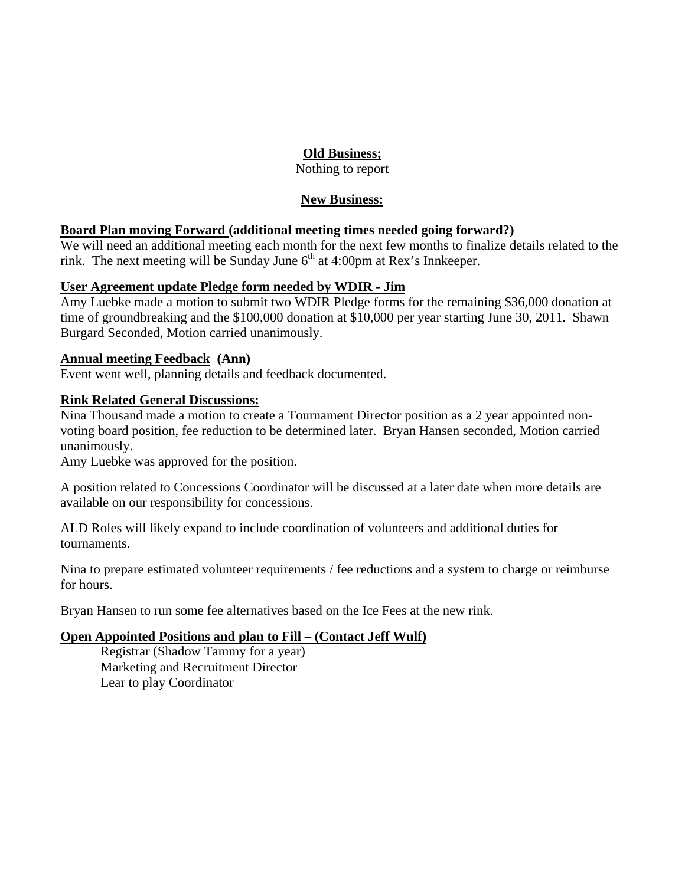# **Old Business;**

Nothing to report

# **New Business:**

# **Board Plan moving Forward (additional meeting times needed going forward?)**

We will need an additional meeting each month for the next few months to finalize details related to the rink. The next meeting will be Sunday June  $6<sup>th</sup>$  at 4:00pm at Rex's Innkeeper.

# **User Agreement update Pledge form needed by WDIR - Jim**

Amy Luebke made a motion to submit two WDIR Pledge forms for the remaining \$36,000 donation at time of groundbreaking and the \$100,000 donation at \$10,000 per year starting June 30, 2011. Shawn Burgard Seconded, Motion carried unanimously.

# **Annual meeting Feedback (Ann)**

Event went well, planning details and feedback documented.

# **Rink Related General Discussions:**

Nina Thousand made a motion to create a Tournament Director position as a 2 year appointed nonvoting board position, fee reduction to be determined later. Bryan Hansen seconded, Motion carried unanimously.

Amy Luebke was approved for the position.

A position related to Concessions Coordinator will be discussed at a later date when more details are available on our responsibility for concessions.

ALD Roles will likely expand to include coordination of volunteers and additional duties for tournaments.

Nina to prepare estimated volunteer requirements / fee reductions and a system to charge or reimburse for hours.

Bryan Hansen to run some fee alternatives based on the Ice Fees at the new rink.

# **Open Appointed Positions and plan to Fill – (Contact Jeff Wulf)**

Registrar (Shadow Tammy for a year) Marketing and Recruitment Director Lear to play Coordinator